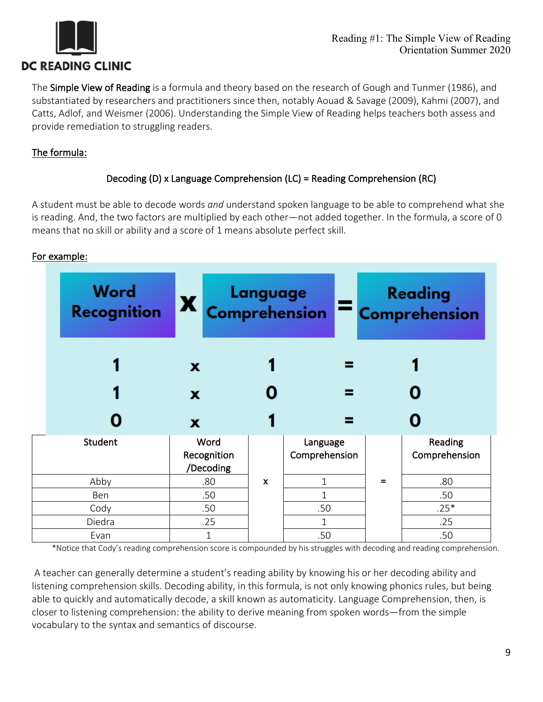

The Simple View of Reading is a formula and theory based on the research of Gough and Tunmer (1986), and substantiated by researchers and practitioners since then, notably Aouad & Savage (2009), Kahmi (2007), and Catts, Adlof, and Weismer (2006). Understanding the Simple View of Reading helps teachers both assess and provide remediation to struggling readers.

## The formula:

## Decoding (D) x Language Comprehension (LC) = Reading Comprehension (RC)

A student must be able to decode words *and* understand spoken language to be able to comprehend what she is reading. And, the two factors are multiplied by each other—not added together. In the formula, a score of 0 means that no skill or ability and a score of 1 means absolute perfect skill.

| Word<br><b>Recognition</b> | $\mathbf{X}$                     | Language Reading<br>Comprehension Comprehension |                           |     |                          |
|----------------------------|----------------------------------|-------------------------------------------------|---------------------------|-----|--------------------------|
|                            | x                                |                                                 |                           |     |                          |
|                            | x                                |                                                 |                           |     |                          |
|                            | $\mathbf x$                      |                                                 |                           |     |                          |
| Student                    | Word<br>Recognition<br>/Decoding |                                                 | Language<br>Comprehension |     | Reading<br>Comprehension |
| Abby                       | .80                              | $\mathsf{x}$                                    | $\mathbf{1}$              | $=$ | .80                      |
| Ben                        | .50                              |                                                 |                           |     | .50                      |
|                            |                                  |                                                 | .50                       |     | $.25*$                   |
| Cody                       | .50                              |                                                 |                           |     |                          |
| Diedra                     | .25                              |                                                 | 1                         |     | .25                      |

For example:

\*Notice that Cody's reading comprehension score is compounded by his struggles with decoding and reading comprehension.

A teacher can generally determine a student's reading ability by knowing his or her decoding ability and listening comprehension skills. Decoding ability, in this formula, is not only knowing phonics rules, but being able to quickly and automatically decode, a skill known as automaticity. Language Comprehension, then, is closer to listening comprehension: the ability to derive meaning from spoken words—from the simple vocabulary to the syntax and semantics of discourse.